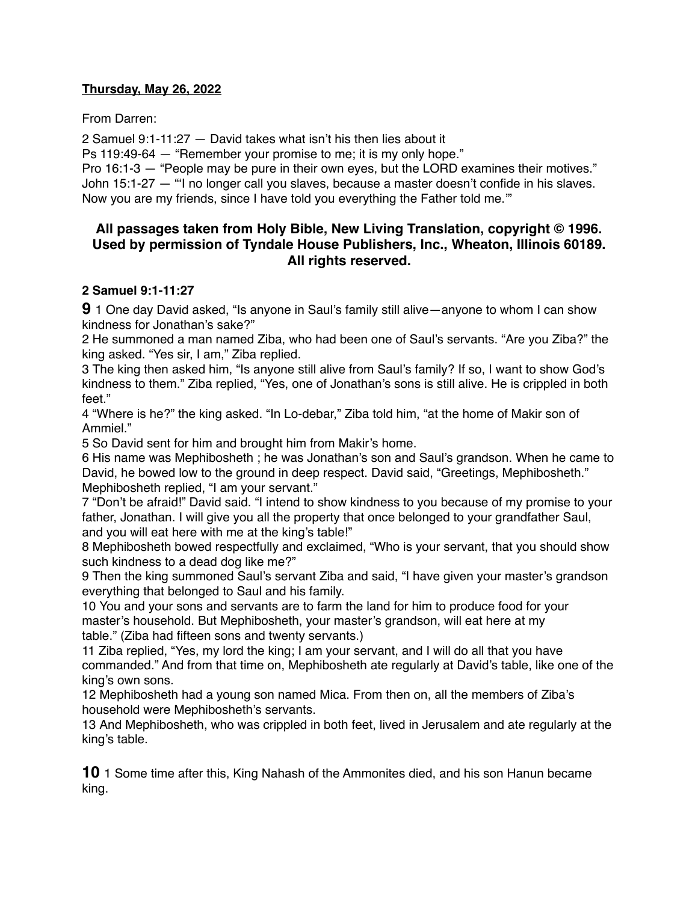## **Thursday, May 26, 2022**

From Darren:

2 Samuel 9:1-11:27 — David takes what isn't his then lies about it

Ps 119:49-64 — "Remember your promise to me; it is my only hope."

Pro 16:1-3 — "People may be pure in their own eyes, but the LORD examines their motives." John 15:1-27 — "'I no longer call you slaves, because a master doesn't confide in his slaves. Now you are my friends, since I have told you everything the Father told me.'"

# **All passages taken from Holy Bible, [New Living Translation](http://www.newlivingtranslation.com/), copyright © 1996. Used by permission of [Tyndale House Publishers](http://tyndale.com/), Inc., Wheaton, Illinois 60189. All rights reserved.**

## **2 Samuel 9:1-11:27**

**9** 1 One day David asked, "Is anyone in Saul's family still alive—anyone to whom I can show kindness for Jonathan's sake?"

2 He summoned a man named Ziba, who had been one of Saul's servants. "Are you Ziba?" the king asked. "Yes sir, I am," Ziba replied.

3 The king then asked him, "Is anyone still alive from Saul's family? If so, I want to show God's kindness to them." Ziba replied, "Yes, one of Jonathan's sons is still alive. He is crippled in both feet."

4 "Where is he?" the king asked. "In Lo-debar," Ziba told him, "at the home of Makir son of Ammiel."

5 So David sent for him and brought him from Makir's home.

6 His name was Mephibosheth ; he was Jonathan's son and Saul's grandson. When he came to David, he bowed low to the ground in deep respect. David said, "Greetings, Mephibosheth." Mephibosheth replied, "I am your servant."

7 "Don't be afraid!" David said. "I intend to show kindness to you because of my promise to your father, Jonathan. I will give you all the property that once belonged to your grandfather Saul, and you will eat here with me at the king's table!"

8 Mephibosheth bowed respectfully and exclaimed, "Who is your servant, that you should show such kindness to a dead dog like me?"

9 Then the king summoned Saul's servant Ziba and said, "I have given your master's grandson everything that belonged to Saul and his family.

10 You and your sons and servants are to farm the land for him to produce food for your master's household. But Mephibosheth, your master's grandson, will eat here at my table." (Ziba had fifteen sons and twenty servants.)

11 Ziba replied, "Yes, my lord the king; I am your servant, and I will do all that you have commanded." And from that time on, Mephibosheth ate regularly at David's table, like one of the king's own sons.

12 Mephibosheth had a young son named Mica. From then on, all the members of Ziba's household were Mephibosheth's servants.

13 And Mephibosheth, who was crippled in both feet, lived in Jerusalem and ate regularly at the king's table.

**10** 1 Some time after this, King Nahash of the Ammonites died, and his son Hanun became king.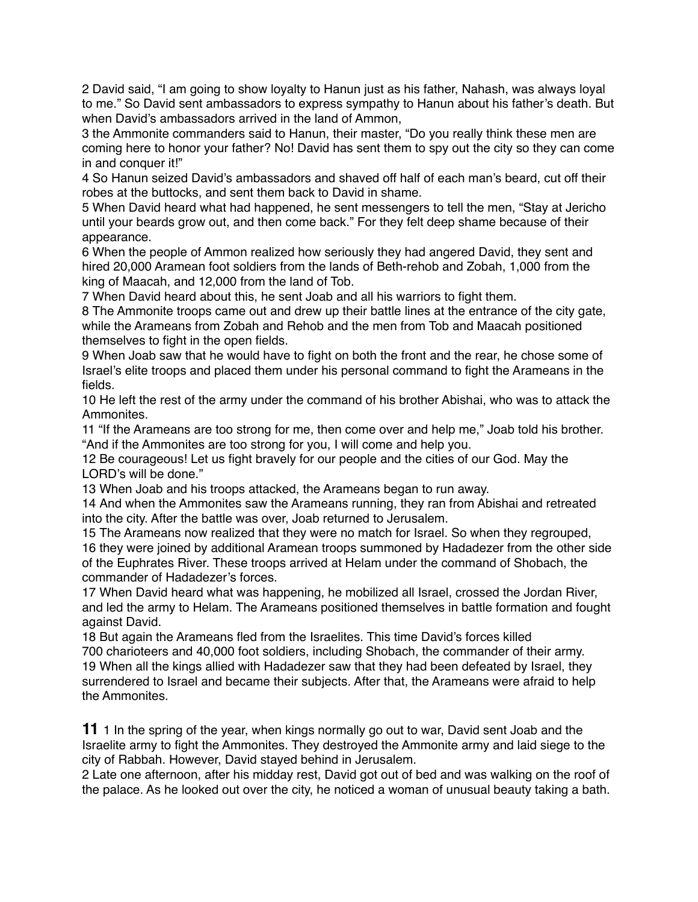2 David said, "I am going to show loyalty to Hanun just as his father, Nahash, was always loyal to me." So David sent ambassadors to express sympathy to Hanun about his father's death. But when David's ambassadors arrived in the land of Ammon,

3 the Ammonite commanders said to Hanun, their master, "Do you really think these men are coming here to honor your father? No! David has sent them to spy out the city so they can come in and conquer it!"

4 So Hanun seized David's ambassadors and shaved off half of each man's beard, cut off their robes at the buttocks, and sent them back to David in shame.

5 When David heard what had happened, he sent messengers to tell the men, "Stay at Jericho until your beards grow out, and then come back." For they felt deep shame because of their appearance.

6 When the people of Ammon realized how seriously they had angered David, they sent and hired 20,000 Aramean foot soldiers from the lands of Beth-rehob and Zobah, 1,000 from the king of Maacah, and 12,000 from the land of Tob.

7 When David heard about this, he sent Joab and all his warriors to fight them.

8 The Ammonite troops came out and drew up their battle lines at the entrance of the city gate, while the Arameans from Zobah and Rehob and the men from Tob and Maacah positioned themselves to fight in the open fields.

9 When Joab saw that he would have to fight on both the front and the rear, he chose some of Israel's elite troops and placed them under his personal command to fight the Arameans in the fields.

10 He left the rest of the army under the command of his brother Abishai, who was to attack the Ammonites.

11 "If the Arameans are too strong for me, then come over and help me," Joab told his brother. "And if the Ammonites are too strong for you, I will come and help you.

12 Be courageous! Let us fight bravely for our people and the cities of our God. May the LORD's will be done."

13 When Joab and his troops attacked, the Arameans began to run away.

14 And when the Ammonites saw the Arameans running, they ran from Abishai and retreated into the city. After the battle was over, Joab returned to Jerusalem.

15 The Arameans now realized that they were no match for Israel. So when they regrouped, 16 they were joined by additional Aramean troops summoned by Hadadezer from the other side of the Euphrates River. These troops arrived at Helam under the command of Shobach, the commander of Hadadezer's forces.

17 When David heard what was happening, he mobilized all Israel, crossed the Jordan River, and led the army to Helam. The Arameans positioned themselves in battle formation and fought against David.

18 But again the Arameans fled from the Israelites. This time David's forces killed 700 charioteers and 40,000 foot soldiers, including Shobach, the commander of their army. 19 When all the kings allied with Hadadezer saw that they had been defeated by Israel, they surrendered to Israel and became their subjects. After that, the Arameans were afraid to help the Ammonites.

**11** 1 In the spring of the year, when kings normally go out to war, David sent Joab and the Israelite army to fight the Ammonites. They destroyed the Ammonite army and laid siege to the city of Rabbah. However, David stayed behind in Jerusalem.

2 Late one afternoon, after his midday rest, David got out of bed and was walking on the roof of the palace. As he looked out over the city, he noticed a woman of unusual beauty taking a bath.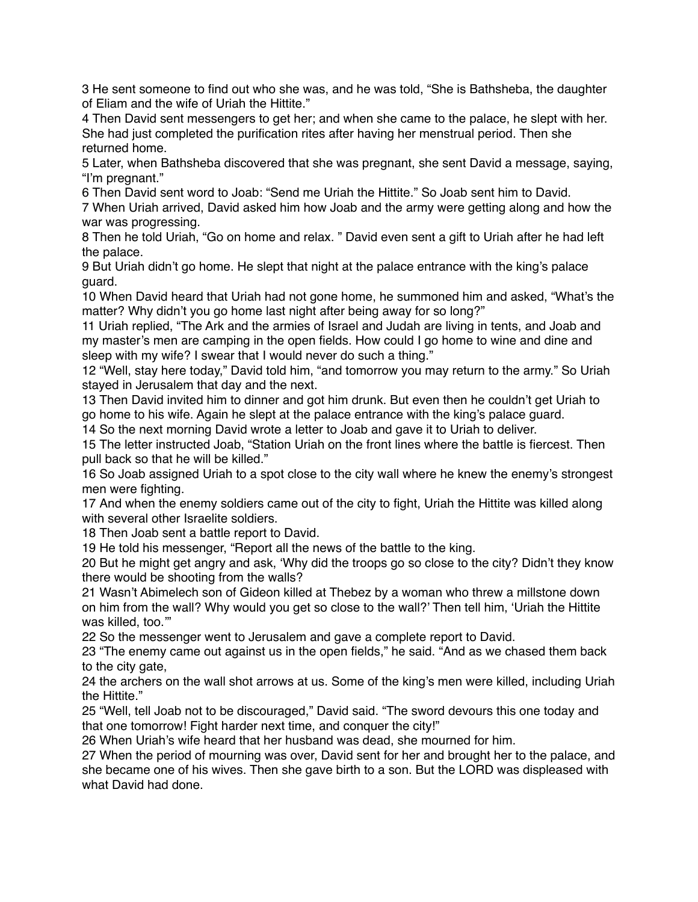3 He sent someone to find out who she was, and he was told, "She is Bathsheba, the daughter of Eliam and the wife of Uriah the Hittite."

4 Then David sent messengers to get her; and when she came to the palace, he slept with her. She had just completed the purification rites after having her menstrual period. Then she returned home.

5 Later, when Bathsheba discovered that she was pregnant, she sent David a message, saying, "I'm pregnant."

6 Then David sent word to Joab: "Send me Uriah the Hittite." So Joab sent him to David.

7 When Uriah arrived, David asked him how Joab and the army were getting along and how the war was progressing.

8 Then he told Uriah, "Go on home and relax. " David even sent a gift to Uriah after he had left the palace.

9 But Uriah didn't go home. He slept that night at the palace entrance with the king's palace guard.

10 When David heard that Uriah had not gone home, he summoned him and asked, "What's the matter? Why didn't you go home last night after being away for so long?"

11 Uriah replied, "The Ark and the armies of Israel and Judah are living in tents, and Joab and my master's men are camping in the open fields. How could I go home to wine and dine and sleep with my wife? I swear that I would never do such a thing."

12 "Well, stay here today," David told him, "and tomorrow you may return to the army." So Uriah stayed in Jerusalem that day and the next.

13 Then David invited him to dinner and got him drunk. But even then he couldn't get Uriah to go home to his wife. Again he slept at the palace entrance with the king's palace guard.

14 So the next morning David wrote a letter to Joab and gave it to Uriah to deliver.

15 The letter instructed Joab, "Station Uriah on the front lines where the battle is fiercest. Then pull back so that he will be killed."

16 So Joab assigned Uriah to a spot close to the city wall where he knew the enemy's strongest men were fighting.

17 And when the enemy soldiers came out of the city to fight, Uriah the Hittite was killed along with several other Israelite soldiers.

18 Then Joab sent a battle report to David.

19 He told his messenger, "Report all the news of the battle to the king.

20 But he might get angry and ask, 'Why did the troops go so close to the city? Didn't they know there would be shooting from the walls?

21 Wasn't Abimelech son of Gideon killed at Thebez by a woman who threw a millstone down on him from the wall? Why would you get so close to the wall?' Then tell him, 'Uriah the Hittite was killed, too."

22 So the messenger went to Jerusalem and gave a complete report to David.

23 "The enemy came out against us in the open fields," he said. "And as we chased them back to the city gate,

24 the archers on the wall shot arrows at us. Some of the king's men were killed, including Uriah the Hittite."

25 "Well, tell Joab not to be discouraged," David said. "The sword devours this one today and that one tomorrow! Fight harder next time, and conquer the city!"

26 When Uriah's wife heard that her husband was dead, she mourned for him.

27 When the period of mourning was over, David sent for her and brought her to the palace, and she became one of his wives. Then she gave birth to a son. But the LORD was displeased with what David had done.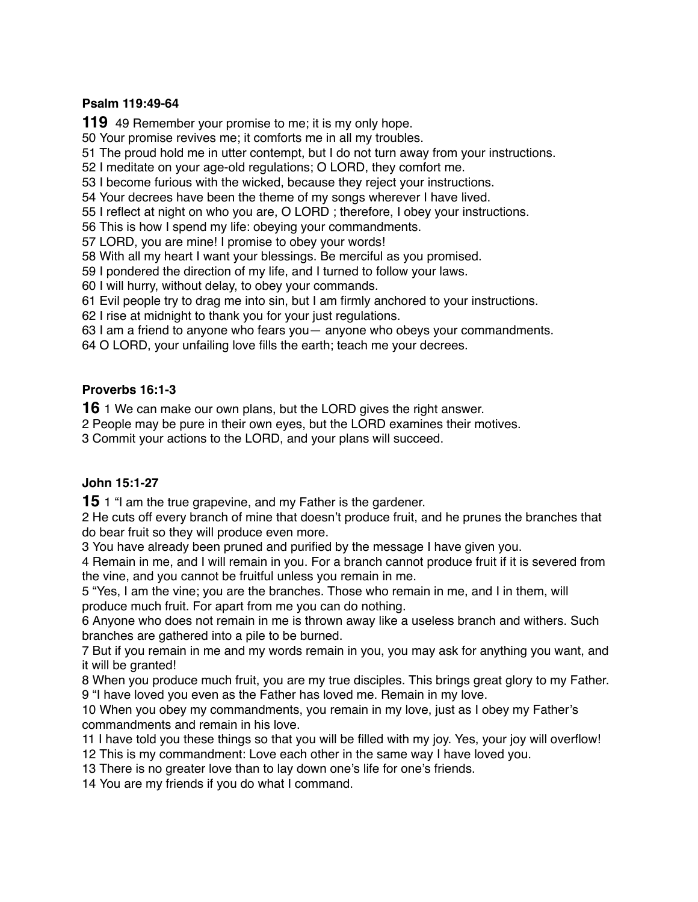### **Psalm 119:49-64**

49 Remember your promise to me; it is my only hope.

Your promise revives me; it comforts me in all my troubles.

The proud hold me in utter contempt, but I do not turn away from your instructions.

I meditate on your age-old regulations; O LORD, they comfort me.

I become furious with the wicked, because they reject your instructions.

Your decrees have been the theme of my songs wherever I have lived.

I reflect at night on who you are, O LORD ; therefore, I obey your instructions.

This is how I spend my life: obeying your commandments.

LORD, you are mine! I promise to obey your words!

With all my heart I want your blessings. Be merciful as you promised.

I pondered the direction of my life, and I turned to follow your laws.

I will hurry, without delay, to obey your commands.

Evil people try to drag me into sin, but I am firmly anchored to your instructions.

I rise at midnight to thank you for your just regulations.

I am a friend to anyone who fears you— anyone who obeys your commandments.

O LORD, your unfailing love fills the earth; teach me your decrees.

## **Proverbs 16:1-3**

1 We can make our own plans, but the LORD gives the right answer.

People may be pure in their own eyes, but the LORD examines their motives.

Commit your actions to the LORD, and your plans will succeed.

# **John 15:1-27**

1 "I am the true grapevine, and my Father is the gardener.

 He cuts off every branch of mine that doesn't produce fruit, and he prunes the branches that do bear fruit so they will produce even more.

You have already been pruned and purified by the message I have given you.

 Remain in me, and I will remain in you. For a branch cannot produce fruit if it is severed from the vine, and you cannot be fruitful unless you remain in me.

 "Yes, I am the vine; you are the branches. Those who remain in me, and I in them, will produce much fruit. For apart from me you can do nothing.

 Anyone who does not remain in me is thrown away like a useless branch and withers. Such branches are gathered into a pile to be burned.

 But if you remain in me and my words remain in you, you may ask for anything you want, and it will be granted!

 When you produce much fruit, you are my true disciples. This brings great glory to my Father. "I have loved you even as the Father has loved me. Remain in my love.

 When you obey my commandments, you remain in my love, just as I obey my Father's commandments and remain in his love.

I have told you these things so that you will be filled with my joy. Yes, your joy will overflow!

This is my commandment: Love each other in the same way I have loved you.

There is no greater love than to lay down one's life for one's friends.

You are my friends if you do what I command.